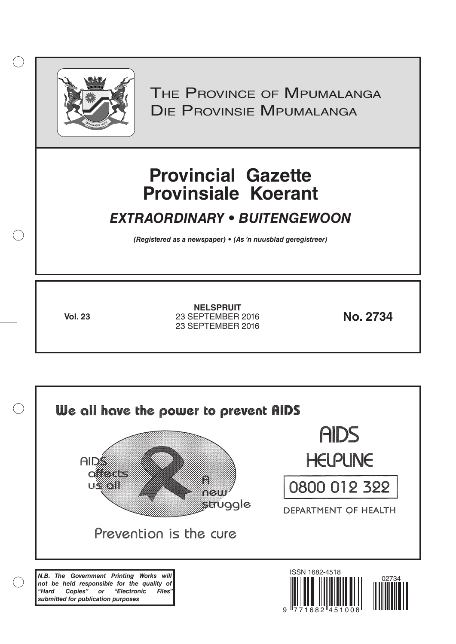

 $( )$ 

THE PROVINCE OF MPUMALANGA Die Provinsie Mpumalanga

# **Provincial Gazette Provinsiale Koerant**

# *EXTRAORDINARY • BUITENGEWOON*

*(Registered as a newspaper) • (As 'n nuusblad geregistreer)*

**Vol. 23 No. 2734** 23 SEPTEMBER 2016 **NELSPRUIT** 23 SEPTEMBER 2016

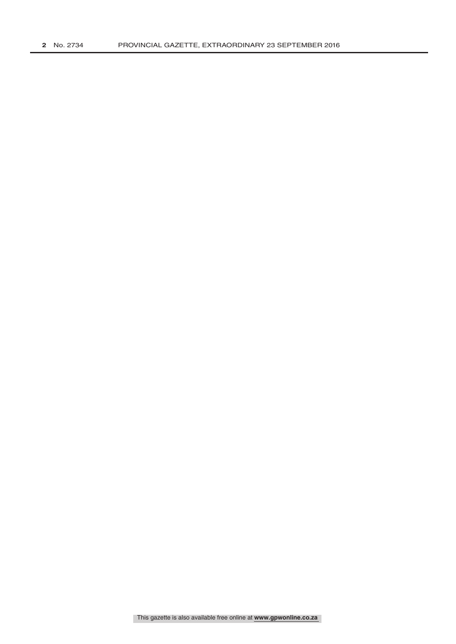This gazette is also available free online at **www.gpwonline.co.za**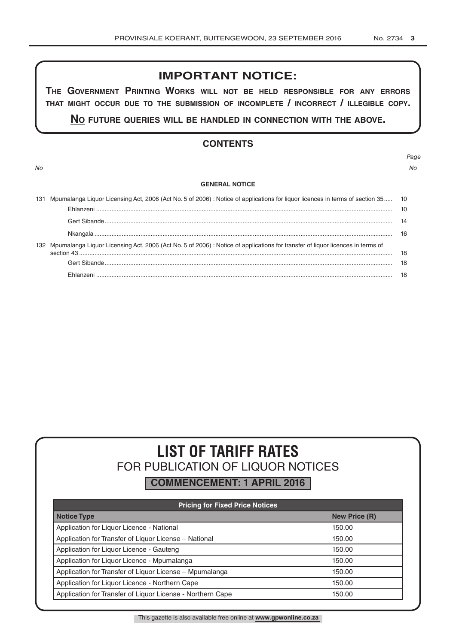# **IMPORTANT NOTICE:**

**The GovernmenT PrinTinG Works Will noT be held resPonsible for any errors ThaT miGhT occur due To The submission of incomPleTe / incorrecT / illeGible coPy.**

**no fuTure queries Will be handled in connecTion WiTh The above.**

# **CONTENTS**

#### **GENERAL NOTICE**

|  | 131 Mpumalanga Liquor Licensing Act, 2006 (Act No. 5 of 2006) : Notice of applications for liquor licences in terms of section 35 10 |    |
|--|--------------------------------------------------------------------------------------------------------------------------------------|----|
|  |                                                                                                                                      | 10 |
|  |                                                                                                                                      |    |
|  |                                                                                                                                      | 16 |
|  | 132 Mpumalanga Liquor Licensing Act, 2006 (Act No. 5 of 2006) : Notice of applications for transfer of liquor licences in terms of   | 18 |
|  |                                                                                                                                      | 18 |
|  |                                                                                                                                      | 18 |

# **LIST OF TARIFF RATES** FOR PUBLICATION OF LIQUOR NOTICES

**COMMENCEMENT: 1 APRIL 2016**

| <b>Pricing for Fixed Price Notices</b>                     |                      |  |  |  |  |
|------------------------------------------------------------|----------------------|--|--|--|--|
| <b>Notice Type</b>                                         | <b>New Price (R)</b> |  |  |  |  |
| Application for Liquor Licence - National                  | 150.00               |  |  |  |  |
| Application for Transfer of Liquor License - National      | 150.00               |  |  |  |  |
| Application for Liquor Licence - Gauteng                   | 150.00               |  |  |  |  |
| Application for Liquor Licence - Mpumalanga                | 150.00               |  |  |  |  |
| Application for Transfer of Liquor License - Mpumalanga    | 150.00               |  |  |  |  |
| Application for Liquor Licence - Northern Cape             | 150.00               |  |  |  |  |
| Application for Transfer of Liquor License - Northern Cape | 150.00               |  |  |  |  |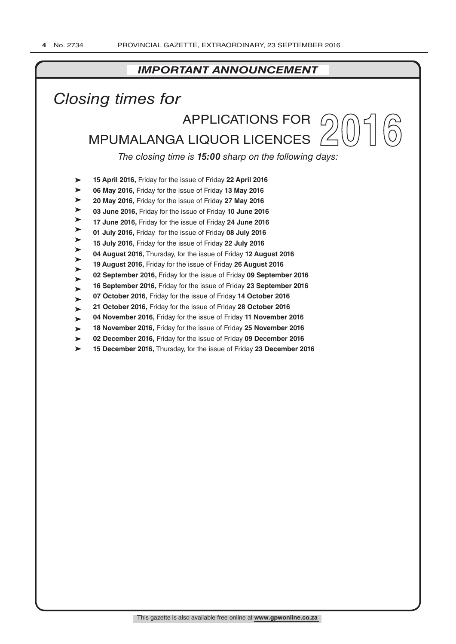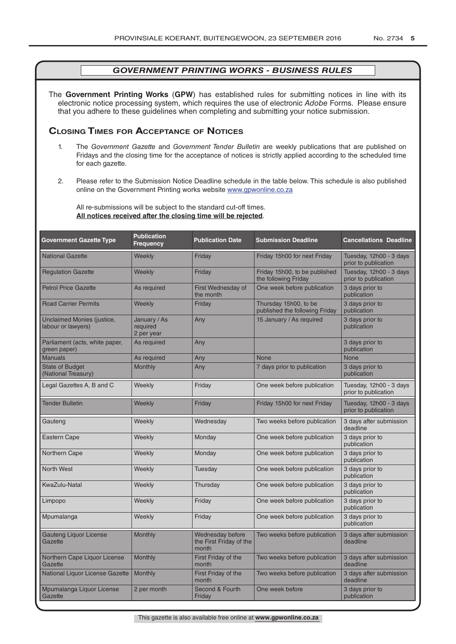The **Government Printing Works** (**GPW**) has established rules for submitting notices in line with its electronic notice processing system, which requires the use of electronic *Adobe* Forms. Please ensure that you adhere to these guidelines when completing and submitting your notice submission.

# **Closing Times for ACCepTAnCe of noTiCes**

- 1. The *Government Gazette* and *Government Tender Bulletin* are weekly publications that are published on Fridays and the closing time for the acceptance of notices is strictly applied according to the scheduled time for each gazette.
- 2. Please refer to the Submission Notice Deadline schedule in the table below. This schedule is also published online on the Government Printing works website www.gpwonline.co.za

All re-submissions will be subject to the standard cut-off times. **All notices received after the closing time will be rejected**.

| <b>Government Gazette Type</b>                   | <b>Publication</b><br><b>Frequency</b> | <b>Publication Date</b>                              | <b>Submission Deadline</b>                              | <b>Cancellations Deadline</b>                   |
|--------------------------------------------------|----------------------------------------|------------------------------------------------------|---------------------------------------------------------|-------------------------------------------------|
| <b>National Gazette</b>                          | Weekly                                 | Friday                                               | Friday 15h00 for next Friday                            | Tuesday, 12h00 - 3 days<br>prior to publication |
| <b>Regulation Gazette</b>                        | Weekly                                 | Friday                                               | Friday 15h00, to be published<br>the following Friday   | Tuesday, 12h00 - 3 days<br>prior to publication |
| <b>Petrol Price Gazette</b>                      | As required                            | First Wednesday of<br>the month                      | One week before publication                             | 3 days prior to<br>publication                  |
| <b>Road Carrier Permits</b>                      | Weekly                                 | Friday                                               | Thursday 15h00, to be<br>published the following Friday | 3 days prior to<br>publication                  |
| Unclaimed Monies (justice,<br>labour or lawyers) | January / As<br>required<br>2 per year | Any                                                  | 15 January / As required                                | 3 days prior to<br>publication                  |
| Parliament (acts, white paper,<br>green paper)   | As required                            | Any                                                  |                                                         | 3 days prior to<br>publication                  |
| <b>Manuals</b>                                   | As required                            | Any                                                  | <b>None</b>                                             | <b>None</b>                                     |
| <b>State of Budget</b><br>(National Treasury)    | Monthly                                | Any                                                  | 7 days prior to publication                             | 3 days prior to<br>publication                  |
| Legal Gazettes A, B and C                        | Weekly                                 | Friday                                               | One week before publication                             | Tuesday, 12h00 - 3 days<br>prior to publication |
| <b>Tender Bulletin</b>                           | Weekly                                 | Friday                                               | Friday 15h00 for next Friday                            | Tuesday, 12h00 - 3 days<br>prior to publication |
| Gauteng                                          | Weekly                                 | Wednesday                                            | Two weeks before publication                            | 3 days after submission<br>deadline             |
| <b>Eastern Cape</b>                              | Weekly                                 | Monday                                               | One week before publication                             | 3 days prior to<br>publication                  |
| Northern Cape                                    | Weekly                                 | Monday                                               | One week before publication                             | 3 days prior to<br>publication                  |
| <b>North West</b>                                | Weekly                                 | Tuesday                                              | One week before publication                             | 3 days prior to<br>publication                  |
| KwaZulu-Natal                                    | Weekly                                 | Thursdav                                             | One week before publication                             | 3 days prior to<br>publication                  |
| Limpopo                                          | Weekly                                 | Friday                                               | One week before publication                             | 3 days prior to<br>publication                  |
| Mpumalanga                                       | Weekly                                 | Friday                                               | One week before publication                             | 3 days prior to<br>publication                  |
| <b>Gauteng Liquor License</b><br>Gazette         | Monthly                                | Wednesday before<br>the First Friday of the<br>month | Two weeks before publication                            | 3 days after submission<br>deadline             |
| Northern Cape Liguor License<br>Gazette          | Monthly                                | First Friday of the<br>month                         | Two weeks before publication                            | 3 days after submission<br>deadline             |
| National Liquor License Gazette                  | <b>Monthly</b>                         | First Friday of the<br>month                         | Two weeks before publication                            | 3 days after submission<br>deadline             |
| Mpumalanga Liquor License<br>Gazette             | 2 per month                            | Second & Fourth<br>Friday                            | One week before                                         | 3 days prior to<br>publication                  |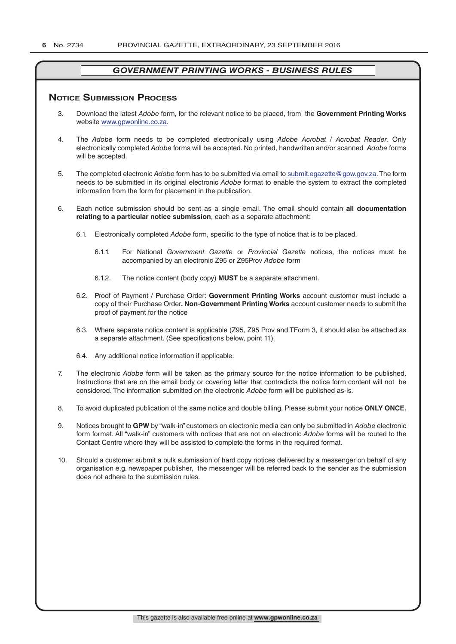# **NOTICE SUBMISSION PROCESS**

- 3. Download the latest *Adobe* form, for the relevant notice to be placed, from the **Government Printing Works** website www.gpwonline.co.za.
- 4. The *Adobe* form needs to be completed electronically using *Adobe Acrobat* / *Acrobat Reader*. Only electronically completed *Adobe* forms will be accepted. No printed, handwritten and/or scanned *Adobe* forms will be accepted.
- 5. The completed electronic *Adobe* form has to be submitted via email to submit.egazette@gpw.gov.za. The form needs to be submitted in its original electronic *Adobe* format to enable the system to extract the completed information from the form for placement in the publication.
- 6. Each notice submission should be sent as a single email. The email should contain **all documentation relating to a particular notice submission**, each as a separate attachment:
	- 6.1. Electronically completed *Adobe* form, specific to the type of notice that is to be placed.
		- 6.1.1. For National *Government Gazette* or *Provincial Gazette* notices, the notices must be accompanied by an electronic Z95 or Z95Prov *Adobe* form
		- 6.1.2. The notice content (body copy) **MUST** be a separate attachment.
	- 6.2. Proof of Payment / Purchase Order: **Government Printing Works** account customer must include a copy of their Purchase Order*.* **Non**-**Government Printing Works** account customer needs to submit the proof of payment for the notice
	- 6.3. Where separate notice content is applicable (Z95, Z95 Prov and TForm 3, it should also be attached as a separate attachment. (See specifications below, point 11).
	- 6.4. Any additional notice information if applicable.
- 7. The electronic *Adobe* form will be taken as the primary source for the notice information to be published. Instructions that are on the email body or covering letter that contradicts the notice form content will not be considered. The information submitted on the electronic *Adobe* form will be published as-is.
- 8. To avoid duplicated publication of the same notice and double billing, Please submit your notice **ONLY ONCE.**
- 9. Notices brought to **GPW** by "walk-in" customers on electronic media can only be submitted in *Adobe* electronic form format. All "walk-in" customers with notices that are not on electronic *Adobe* forms will be routed to the Contact Centre where they will be assisted to complete the forms in the required format.
- 10. Should a customer submit a bulk submission of hard copy notices delivered by a messenger on behalf of any organisation e.g. newspaper publisher, the messenger will be referred back to the sender as the submission does not adhere to the submission rules.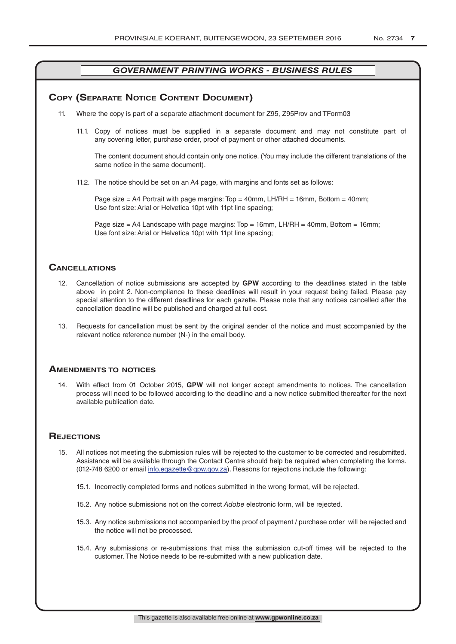# **COPY (SEPARATE NOTICE CONTENT DOCUMENT)**

- 11. Where the copy is part of a separate attachment document for Z95, Z95Prov and TForm03
	- 11.1. Copy of notices must be supplied in a separate document and may not constitute part of any covering letter, purchase order, proof of payment or other attached documents.

The content document should contain only one notice. (You may include the different translations of the same notice in the same document).

11.2. The notice should be set on an A4 page, with margins and fonts set as follows:

Page size  $=$  A4 Portrait with page margins: Top  $=$  40mm, LH/RH  $=$  16mm, Bottom  $=$  40mm; Use font size: Arial or Helvetica 10pt with 11pt line spacing;

Page size = A4 Landscape with page margins: Top = 16mm, LH/RH = 40mm, Bottom = 16mm; Use font size: Arial or Helvetica 10pt with 11pt line spacing;

### **CAnCellATions**

- 12. Cancellation of notice submissions are accepted by **GPW** according to the deadlines stated in the table above in point 2. Non-compliance to these deadlines will result in your request being failed. Please pay special attention to the different deadlines for each gazette. Please note that any notices cancelled after the cancellation deadline will be published and charged at full cost.
- 13. Requests for cancellation must be sent by the original sender of the notice and must accompanied by the relevant notice reference number (N-) in the email body.

#### **AmenDmenTs To noTiCes**

14. With effect from 01 October 2015, **GPW** will not longer accept amendments to notices. The cancellation process will need to be followed according to the deadline and a new notice submitted thereafter for the next available publication date.

#### **REJECTIONS**

- 15. All notices not meeting the submission rules will be rejected to the customer to be corrected and resubmitted. Assistance will be available through the Contact Centre should help be required when completing the forms. (012-748 6200 or email info.egazette@gpw.gov.za). Reasons for rejections include the following:
	- 15.1. Incorrectly completed forms and notices submitted in the wrong format, will be rejected.
	- 15.2. Any notice submissions not on the correct *Adobe* electronic form, will be rejected.
	- 15.3. Any notice submissions not accompanied by the proof of payment / purchase order will be rejected and the notice will not be processed.
	- 15.4. Any submissions or re-submissions that miss the submission cut-off times will be rejected to the customer. The Notice needs to be re-submitted with a new publication date.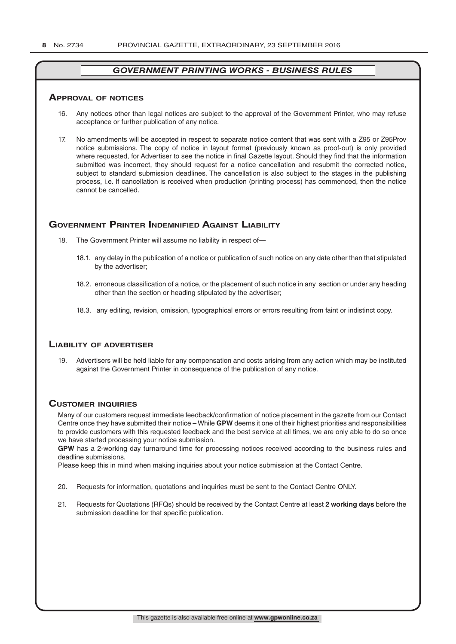#### **ApprovAl of noTiCes**

- 16. Any notices other than legal notices are subject to the approval of the Government Printer, who may refuse acceptance or further publication of any notice.
- 17. No amendments will be accepted in respect to separate notice content that was sent with a Z95 or Z95Prov notice submissions. The copy of notice in layout format (previously known as proof-out) is only provided where requested, for Advertiser to see the notice in final Gazette layout. Should they find that the information submitted was incorrect, they should request for a notice cancellation and resubmit the corrected notice, subject to standard submission deadlines. The cancellation is also subject to the stages in the publishing process, i.e. If cancellation is received when production (printing process) has commenced, then the notice cannot be cancelled.

# **GOVERNMENT PRINTER INDEMNIFIED AGAINST LIABILITY**

- 18. The Government Printer will assume no liability in respect of-
	- 18.1. any delay in the publication of a notice or publication of such notice on any date other than that stipulated by the advertiser;
	- 18.2. erroneous classification of a notice, or the placement of such notice in any section or under any heading other than the section or heading stipulated by the advertiser;
	- 18.3. any editing, revision, omission, typographical errors or errors resulting from faint or indistinct copy.

#### **liAbiliTy of ADverTiser**

19. Advertisers will be held liable for any compensation and costs arising from any action which may be instituted against the Government Printer in consequence of the publication of any notice.

#### **CusTomer inquiries**

Many of our customers request immediate feedback/confirmation of notice placement in the gazette from our Contact Centre once they have submitted their notice – While **GPW** deems it one of their highest priorities and responsibilities to provide customers with this requested feedback and the best service at all times, we are only able to do so once we have started processing your notice submission.

**GPW** has a 2-working day turnaround time for processing notices received according to the business rules and deadline submissions.

Please keep this in mind when making inquiries about your notice submission at the Contact Centre.

- 20. Requests for information, quotations and inquiries must be sent to the Contact Centre ONLY.
- 21. Requests for Quotations (RFQs) should be received by the Contact Centre at least **2 working days** before the submission deadline for that specific publication.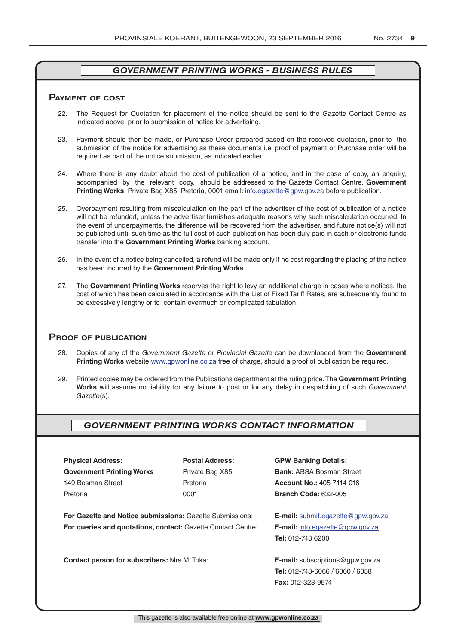### **pAymenT of CosT**

- 22. The Request for Quotation for placement of the notice should be sent to the Gazette Contact Centre as indicated above, prior to submission of notice for advertising.
- 23. Payment should then be made, or Purchase Order prepared based on the received quotation, prior to the submission of the notice for advertising as these documents i.e. proof of payment or Purchase order will be required as part of the notice submission, as indicated earlier.
- 24. Where there is any doubt about the cost of publication of a notice, and in the case of copy, an enquiry, accompanied by the relevant copy, should be addressed to the Gazette Contact Centre, **Government Printing Works**, Private Bag X85, Pretoria, 0001 email: info.egazette@gpw.gov.za before publication.
- 25. Overpayment resulting from miscalculation on the part of the advertiser of the cost of publication of a notice will not be refunded, unless the advertiser furnishes adequate reasons why such miscalculation occurred. In the event of underpayments, the difference will be recovered from the advertiser, and future notice(s) will not be published until such time as the full cost of such publication has been duly paid in cash or electronic funds transfer into the **Government Printing Works** banking account.
- 26. In the event of a notice being cancelled, a refund will be made only if no cost regarding the placing of the notice has been incurred by the **Government Printing Works**.
- 27. The **Government Printing Works** reserves the right to levy an additional charge in cases where notices, the cost of which has been calculated in accordance with the List of Fixed Tariff Rates, are subsequently found to be excessively lengthy or to contain overmuch or complicated tabulation.

# **proof of publiCATion**

- 28. Copies of any of the *Government Gazette* or *Provincial Gazette* can be downloaded from the **Government Printing Works** website www.gpwonline.co.za free of charge, should a proof of publication be required.
- 29. Printed copies may be ordered from the Publications department at the ruling price. The **Government Printing Works** will assume no liability for any failure to post or for any delay in despatching of such *Government Gazette*(s).

# *GOVERNMENT PRINTING WORKS CONTACT INFORMATION*

**Physical Address: Postal Address: GPW Banking Details: Government Printing Works** Private Bag X85 **Bank:** ABSA Bosman Street 149 Bosman Street Pretoria **Account No.:** 405 7114 016 Pretoria 0001 **Branch Code:** 632-005

**For Gazette and Notice submissions:** Gazette Submissions: **E-mail:** submit.egazette@gpw.gov.za **For queries and quotations, contact:** Gazette Contact Centre: **E-mail:** info.egazette@gpw.gov.za

**Contact person for subscribers:** Mrs M. Toka: **E-mail:** subscriptions@gpw.gov.za

**Tel:** 012-748 6200

**Tel:** 012-748-6066 / 6060 / 6058 **Fax:** 012-323-9574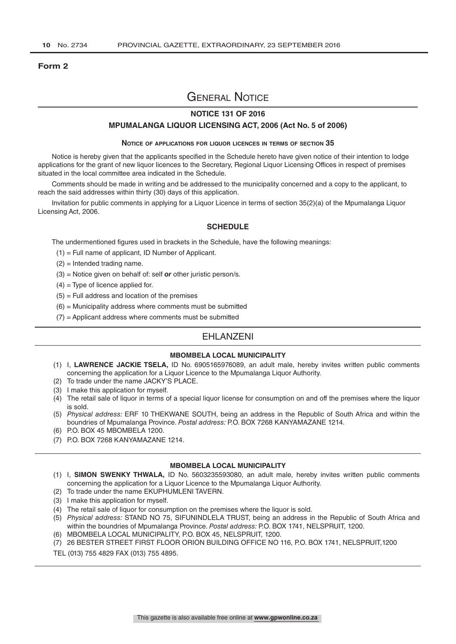#### **Form 2**

# General Notice

### **NOTICE 131 OF 2016**

#### **MPUMALANGA LIQUOR LICENSING ACT, 2006 (Act No. 5 of 2006)**

#### **Notice of applications for liquor licences in terms of section 35**

Notice is hereby given that the applicants specified in the Schedule hereto have given notice of their intention to lodge applications for the grant of new liquor licences to the Secretary, Regional Liquor Licensing Offices in respect of premises situated in the local committee area indicated in the Schedule.

Comments should be made in writing and be addressed to the municipality concerned and a copy to the applicant, to reach the said addresses within thirty (30) days of this application.

Invitation for public comments in applying for a Liquor Licence in terms of section 35(2)(a) of the Mpumalanga Liquor Licensing Act, 2006.

#### **SCHEDULE**

The undermentioned figures used in brackets in the Schedule, have the following meanings:

- (1) = Full name of applicant, ID Number of Applicant.
- (2) = Intended trading name.
- (3) = Notice given on behalf of: self *or* other juristic person/s.
- $(4)$  = Type of licence applied for.
- $(5)$  = Full address and location of the premises
- $(6)$  = Municipality address where comments must be submitted
- $(7)$  = Applicant address where comments must be submitted

# **FHI ANZENI**

#### **MBOMBELA LOCAL MUNICIPALITY**

- (1) I, **LAWRENCE JACKIE TSELA,** ID No. 6905165976089, an adult male, hereby invites written public comments concerning the application for a Liquor Licence to the Mpumalanga Liquor Authority.
- (2) To trade under the name JACKY'S PLACE.
- (3) I make this application for myself.
- $(4)$  The retail sale of liquor in terms of a special liquor license for consumption on and off the premises where the liquor is sold.
- (5) *Physical address:* ERF 10 THEKWANE SOUTH, being an address in the Republic of South Africa and within the boundries of Mpumalanga Province. *Postal address:* P.O. BOX 7268 KANYAMAZANE 1214.
- (6) P.O. BOX 45 MBOMBELA 1200.
- (7) P.O. BOX 7268 KANYAMAZANE 1214.

#### **MBOMBELA LOCAL MUNICIPALITY**

- (1) I, **SIMON SWENKY THWALA,** ID No. 5603235593080, an adult male, hereby invites written public comments concerning the application for a Liquor Licence to the Mpumalanga Liquor Authority.
- (2) To trade under the name EKUPHUMLENI TAVERN.
- (3) I make this application for myself.
- (4) The retail sale of liquor for consumption on the premises where the liquor is sold.
- (5) *Physical address:* STAND NO 75, SIFUNINDLELA TRUST, being an address in the Republic of South Africa and within the boundries of Mpumalanga Province. *Postal address:* P.O. BOX 1741, NELSPRUIT, 1200.
- (6) MBOMBELA LOCAL MUNICIPALITY, P.O. BOX 45, NELSPRUIT, 1200.
- (7) 26 BESTER STREET FIRST FLOOR ORION BUILDING OFFICE NO 116, P.O. BOX 1741, NELSPRUIT,1200

TEL (013) 755 4829 FAX (013) 755 4895.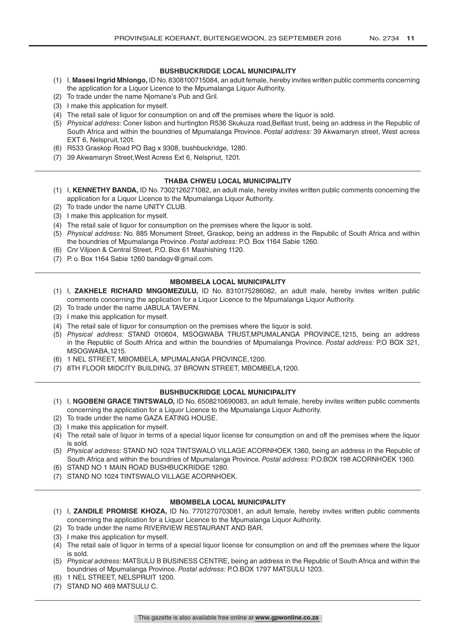#### **BUSHBUCKRIDGE LOCAL MUNICIPALITY**

- (1) I, **Masesi Ingrid Mhlongo,** ID No. 8308100715084, an adult female, hereby invites written public comments concerning the application for a Liquor Licence to the Mpumalanga Liquor Authority.
- (2) To trade under the name Njomane's Pub and Gril.
- (3) I make this application for myself.
- (4) The retail sale of liquor for consumption on and off the premises where the liquor is sold.
- (5) *Physical address:* Coner lisbon and hurtington R536 Skukuza road,Belfast trust, being an address in the Republic of South Africa and within the boundries of Mpumalanga Province. *Postal address:* 39 Akwamaryn street, West acress EXT 6, Nelspruit,1201.
- (6) R533 Graskop Road PO Bag x 9308, bushbuckridge, 1280.
- (7) 39 Akwamaryn Street,West Acress Ext 6, Nelspriut, 1201.

#### **THABA CHWEU LOCAL MUNICIPALITY**

- (1) I, **KENNETHY BANDA,** ID No. 7302126271082, an adult male, hereby invites written public comments concerning the application for a Liquor Licence to the Mpumalanga Liquor Authority.
- (2) To trade under the name UNITY CLUB.
- (3) I make this application for myself.
- (4) The retail sale of liquor for consumption on the premises where the liquor is sold.
- (5) *Physical address:* No. 885 Monument Street, Graskop, being an address in the Republic of South Africa and within the boundries of Mpumalanga Province. *Postal address:* P.O. Box 1164 Sabie 1260.
- (6) Cnr Viljoen & Central Street, P.O. Box 61 Mashishing 1120.
- (7) P. o. Box 1164 Sabie 1260 bandagv@gmail.com.

#### **MBOMBELA LOCAL MUNICIPALITY**

- (1) I, **ZAKHELE RICHARD MNGOMEZULU,** ID No. 8310175286082, an adult male, hereby invites written public comments concerning the application for a Liquor Licence to the Mpumalanga Liquor Authority.
- (2) To trade under the name JABULA TAVERN.
- (3) I make this application for myself.
- (4) The retail sale of liquor for consumption on the premises where the liquor is sold.
- (5) *Physical address:* STAND 010604, MSOGWABA TRUST,MPUMALANGA PROVINCE,1215, being an address in the Republic of South Africa and within the boundries of Mpumalanga Province. *Postal address:* P.O BOX 321, MSOGWABA,1215.
- (6) 1 NEL STREET, MBOMBELA, MPUMALANGA PROVINCE,1200.
- (7) 8TH FLOOR MIDCITY BUILDING, 37 BROWN STREET, MBOMBELA,1200.

#### **BUSHBUCKRIDGE LOCAL MUNICIPALITY**

- (1) I, **NGOBENI GRACE TINTSWALO,** ID No. 6508210690083, an adult female, hereby invites written public comments concerning the application for a Liquor Licence to the Mpumalanga Liquor Authority.
- (2) To trade under the name GAZA EATING HOUSE.
- (3) I make this application for myself.
- (4) The retail sale of liquor in terms of a special liquor license for consumption on and off the premises where the liquor is sold.
- (5) *Physical address:* STAND NO 1024 TINTSWALO VILLAGE ACORNHOEK 1360, being an address in the Republic of South Africa and within the boundries of Mpumalanga Province. *Postal address:* P.O.BOX 198 ACORNHOEK 1360.
- (6) STAND NO 1 MAIN ROAD BUSHBUCKRIDGE 1280.
- (7) STAND NO 1024 TINTSWALO VILLAGE ACORNHOEK.

#### **MBOMBELA LOCAL MUNICIPALITY**

- (1) I, **ZANDILE PROMISE KHOZA,** ID No. 7701270703081, an adult female, hereby invites written public comments concerning the application for a Liquor Licence to the Mpumalanga Liquor Authority.
- (2) To trade under the name RIVERVIEW RESTAURANT AND BAR.
- (3) I make this application for myself.
- (4) The retail sale of liquor in terms of a special liquor license for consumption on and off the premises where the liquor is sold.
- (5) *Physical address:* MATSULU B BUSINESS CENTRE, being an address in the Republic of South Africa and within the boundries of Mpumalanga Province. *Postal address:* P.O.BOX 1797 MATSULU 1203.
- (6) 1 NEL STREET, NELSPRUIT 1200.
- (7) STAND NO 469 MATSULU C.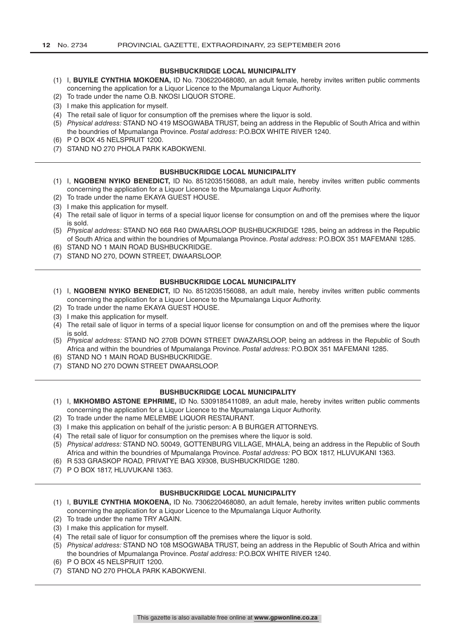#### **BUSHBUCKRIDGE LOCAL MUNICIPALITY**

- (1) I, **BUYILE CYNTHIA MOKOENA,** ID No. 7306220468080, an adult female, hereby invites written public comments concerning the application for a Liquor Licence to the Mpumalanga Liquor Authority.
- (2) To trade under the name O.B. NKOSI LIQUOR STORE.
- (3) I make this application for myself.
- (4) The retail sale of liquor for consumption off the premises where the liquor is sold.
- (5) *Physical address:* STAND NO 419 MSOGWABA TRUST, being an address in the Republic of South Africa and within the boundries of Mpumalanga Province. *Postal address:* P.O.BOX WHITE RIVER 1240.
- (6) P O BOX 45 NELSPRUIT 1200.
- (7) STAND NO 270 PHOLA PARK KABOKWENI.

#### **BUSHBUCKRIDGE LOCAL MUNICIPALITY**

- (1) I, **NGOBENI NYIKO BENEDICT,** ID No. 8512035156088, an adult male, hereby invites written public comments concerning the application for a Liquor Licence to the Mpumalanga Liquor Authority.
- (2) To trade under the name EKAYA GUEST HOUSE.
- (3) I make this application for myself.
- (4) The retail sale of liquor in terms of a special liquor license for consumption on and off the premises where the liquor is sold.
- (5) *Physical address:* STAND NO 668 R40 DWAARSLOOP BUSHBUCKRIDGE 1285, being an address in the Republic of South Africa and within the boundries of Mpumalanga Province. *Postal address:* P.O.BOX 351 MAFEMANI 1285.
- (6) STAND NO 1 MAIN ROAD BUSHBUCKRIDGE.
- (7) STAND NO 270, DOWN STREET, DWAARSLOOP.

#### **BUSHBUCKRIDGE LOCAL MUNICIPALITY**

- (1) I, **NGOBENI NYIKO BENEDICT,** ID No. 8512035156088, an adult male, hereby invites written public comments concerning the application for a Liquor Licence to the Mpumalanga Liquor Authority.
- (2) To trade under the name EKAYA GUEST HOUSE.
- (3) I make this application for myself.
- (4) The retail sale of liquor in terms of a special liquor license for consumption on and off the premises where the liquor is sold.
- (5) *Physical address:* STAND NO 270B DOWN STREET DWAZARSLOOP, being an address in the Republic of South Africa and within the boundries of Mpumalanga Province. *Postal address:* P.O.BOX 351 MAFEMANI 1285.
- (6) STAND NO 1 MAIN ROAD BUSHBUCKRIDGE.
- (7) STAND NO 270 DOWN STREET DWAARSLOOP.

#### **BUSHBUCKRIDGE LOCAL MUNICIPALITY**

- (1) I, **MKHOMBO ASTONE EPHRIME,** ID No. 5309185411089, an adult male, hereby invites written public comments concerning the application for a Liquor Licence to the Mpumalanga Liquor Authority.
- (2) To trade under the name MELEMBE LIQUOR RESTAURANT.
- (3) I make this application on behalf of the juristic person: A B BURGER ATTORNEYS.
- (4) The retail sale of liquor for consumption on the premises where the liquor is sold.
- (5) *Physical address:* STAND NO. 50049, GOTTENBURG VILLAGE, MHALA, being an address in the Republic of South Africa and within the boundries of Mpumalanga Province. *Postal address:* PO BOX 1817, HLUVUKANI 1363.
- (6) R 533 GRASKOP ROAD, PRIVATYE BAG X9308, BUSHBUCKRIDGE 1280.
- (7) P O BOX 1817, HLUVUKANI 1363.

#### **BUSHBUCKRIDGE LOCAL MUNICIPALITY**

- (1) I, **BUYILE CYNTHIA MOKOENA,** ID No. 7306220468080, an adult female, hereby invites written public comments concerning the application for a Liquor Licence to the Mpumalanga Liquor Authority.
- (2) To trade under the name TRY AGAIN.
- (3) I make this application for myself.
- (4) The retail sale of liquor for consumption off the premises where the liquor is sold.
- (5) *Physical address:* STAND NO 108 MSOGWABA TRUST, being an address in the Republic of South Africa and within the boundries of Mpumalanga Province. *Postal address:* P.O.BOX WHITE RIVER 1240.
- (6) P O BOX 45 NELSPRUIT 1200.
- (7) STAND NO 270 PHOLA PARK KABOKWENI.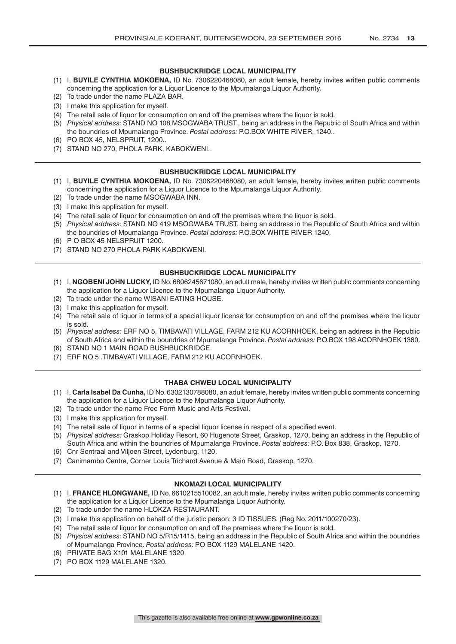#### **BUSHBUCKRIDGE LOCAL MUNICIPALITY**

- (1) I, **BUYILE CYNTHIA MOKOENA,** ID No. 7306220468080, an adult female, hereby invites written public comments concerning the application for a Liquor Licence to the Mpumalanga Liquor Authority.
- (2) To trade under the name PLAZA BAR.
- (3) I make this application for myself.
- (4) The retail sale of liquor for consumption on and off the premises where the liquor is sold.
- (5) *Physical address:* STAND NO 108 MSOGWABA TRUST., being an address in the Republic of South Africa and within the boundries of Mpumalanga Province. *Postal address:* P.O.BOX WHITE RIVER, 1240..
- (6) PO BOX 45, NELSPRUIT, 1200..
- (7) STAND NO 270, PHOLA PARK, KABOKWENI..

#### **BUSHBUCKRIDGE LOCAL MUNICIPALITY**

- (1) I, **BUYILE CYNTHIA MOKOENA,** ID No. 7306220468080, an adult female, hereby invites written public comments concerning the application for a Liquor Licence to the Mpumalanga Liquor Authority.
- (2) To trade under the name MSOGWABA INN.
- (3) I make this application for myself.
- (4) The retail sale of liquor for consumption on and off the premises where the liquor is sold.
- (5) *Physical address:* STAND NO 419 MSOGWABA TRUST, being an address in the Republic of South Africa and within the boundries of Mpumalanga Province. *Postal address:* P.O.BOX WHITE RIVER 1240.
- (6) P O BOX 45 NELSPRUIT 1200.
- (7) STAND NO 270 PHOLA PARK KABOKWENI.

#### **BUSHBUCKRIDGE LOCAL MUNICIPALITY**

- (1) I, **NGOBENI JOHN LUCKY,** ID No. 6806245671080, an adult male, hereby invites written public comments concerning the application for a Liquor Licence to the Mpumalanga Liquor Authority.
- (2) To trade under the name WISANI EATING HOUSE.
- (3) I make this application for myself.
- (4) The retail sale of liquor in terms of a special liquor license for consumption on and off the premises where the liquor is sold.
- (5) *Physical address:* ERF NO 5, TIMBAVATI VILLAGE, FARM 212 KU ACORNHOEK, being an address in the Republic of South Africa and within the boundries of Mpumalanga Province. *Postal address:* P.O.BOX 198 ACORNHOEK 1360.
- (6) STAND NO 1 MAIN ROAD BUSHBUCKRIDGE.
- (7) ERF NO 5 .TIMBAVATI VILLAGE, FARM 212 KU ACORNHOEK.

#### **THABA CHWEU LOCAL MUNICIPALITY**

- (1) I, **Carla Isabel Da Cunha,** ID No. 6302130788080, an adult female, hereby invites written public comments concerning the application for a Liquor Licence to the Mpumalanga Liquor Authority.
- (2) To trade under the name Free Form Music and Arts Festival.
- (3) I make this application for myself.
- (4) The retail sale of liquor in terms of a special liquor license in respect of a specified event.
- (5) *Physical address:* Graskop Holiday Resort, 60 Hugenote Street, Graskop, 1270, being an address in the Republic of South Africa and within the boundries of Mpumalanga Province. *Postal address:* P.O. Box 838, Graskop, 1270.
- (6) Cnr Sentraal and Viljoen Street, Lydenburg, 1120.
- (7) Canimambo Centre, Corner Louis Trichardt Avenue & Main Road, Graskop, 1270.

#### **NKOMAZI LOCAL MUNICIPALITY**

- (1) I, **FRANCE HLONGWANE,** ID No. 6610215510082, an adult male, hereby invites written public comments concerning the application for a Liquor Licence to the Mpumalanga Liquor Authority.
- (2) To trade under the name HLOKZA RESTAURANT.
- (3) I make this application on behalf of the juristic person: 3 ID TISSUES. (Reg No. 2011/100270/23).
- (4) The retail sale of liquor for consumption on and off the premises where the liquor is sold.
- (5) *Physical address:* STAND NO 5/R15/1415, being an address in the Republic of South Africa and within the boundries of Mpumalanga Province. *Postal address:* PO BOX 1129 MALELANE 1420.
- (6) PRIVATE BAG X101 MALELANE 1320.
- (7) PO BOX 1129 MALELANE 1320.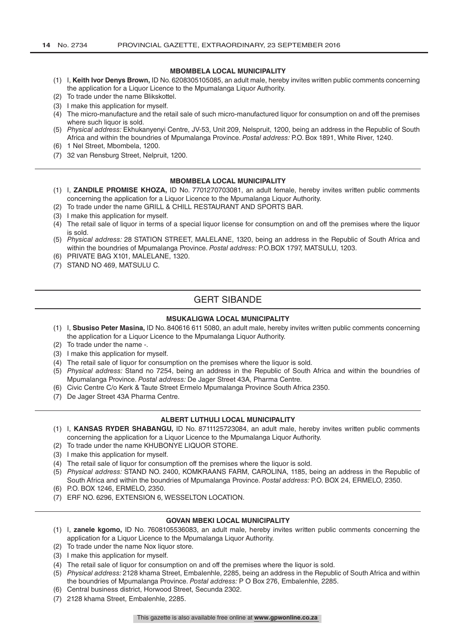#### **MBOMBELA LOCAL MUNICIPALITY**

- (1) I, **Keith Ivor Denys Brown,** ID No. 6208305105085, an adult male, hereby invites written public comments concerning the application for a Liquor Licence to the Mpumalanga Liquor Authority.
- (2) To trade under the name Blikskottel.
- (3) I make this application for myself.
- (4) The micro-manufacture and the retail sale of such micro-manufactured liquor for consumption on and off the premises where such liquor is sold.
- (5) *Physical address:* Ekhukanyenyi Centre, JV-53, Unit 209, Nelspruit, 1200, being an address in the Republic of South Africa and within the boundries of Mpumalanga Province. *Postal address:* P.O. Box 1891, White River, 1240.
- (6) 1 Nel Street, Mbombela, 1200.
- (7) 32 van Rensburg Street, Nelpruit, 1200.

#### **MBOMBELA LOCAL MUNICIPALITY**

- (1) I, **ZANDILE PROMISE KHOZA,** ID No. 7701270703081, an adult female, hereby invites written public comments concerning the application for a Liquor Licence to the Mpumalanga Liquor Authority.
- (2) To trade under the name GRILL & CHILL RESTAURANT AND SPORTS BAR.
- (3) I make this application for myself.
- (4) The retail sale of liquor in terms of a special liquor license for consumption on and off the premises where the liquor is sold.
- (5) *Physical address:* 28 STATION STREET, MALELANE, 1320, being an address in the Republic of South Africa and within the boundries of Mpumalanga Province. *Postal address:* P.O.BOX 1797, MATSULU, 1203.
- (6) PRIVATE BAG X101, MALELANE, 1320.
- (7) STAND NO 469, MATSULU C.

# GERT SIBANDE

#### **MSUKALIGWA LOCAL MUNICIPALITY**

- (1) I, **Sbusiso Peter Masina,** ID No. 840616 611 5080, an adult male, hereby invites written public comments concerning the application for a Liquor Licence to the Mpumalanga Liquor Authority.
- (2) To trade under the name -.
- (3) I make this application for myself.
- (4) The retail sale of liquor for consumption on the premises where the liquor is sold.
- (5) *Physical address:* Stand no 7254, being an address in the Republic of South Africa and within the boundries of Mpumalanga Province. *Postal address:* De Jager Street 43A, Pharma Centre.
- (6) Civic Centre C/o Kerk & Taute Street Ermelo Mpumalanga Province South Africa 2350.
- (7) De Jager Street 43A Pharma Centre.

#### **ALBERT LUTHULI LOCAL MUNICIPALITY**

- (1) I, **KANSAS RYDER SHABANGU,** ID No. 8711125723084, an adult male, hereby invites written public comments concerning the application for a Liquor Licence to the Mpumalanga Liquor Authority.
- (2) To trade under the name KHUBONYE LIQUOR STORE.
- (3) I make this application for myself.
- (4) The retail sale of liquor for consumption off the premises where the liquor is sold.
- (5) *Physical address:* STAND NO. 2400, KOMKRAANS FARM, CAROLINA, 1185, being an address in the Republic of South Africa and within the boundries of Mpumalanga Province. *Postal address:* P.O. BOX 24, ERMELO, 2350.
- (6) P.O. BOX 1246, ERMELO, 2350.
- (7) ERF NO. 6296, EXTENSION 6, WESSELTON LOCATION.

#### **GOVAN MBEKI LOCAL MUNICIPALITY**

- (1) I, **zanele kgomo,** ID No. 7608105536083, an adult male, hereby invites written public comments concerning the application for a Liquor Licence to the Mpumalanga Liquor Authority.
- (2) To trade under the name Nox liquor store.
- (3) I make this application for myself.
- (4) The retail sale of liquor for consumption on and off the premises where the liquor is sold.
- (5) *Physical address:* 2128 khama Street, Embalenhle, 2285, being an address in the Republic of South Africa and within the boundries of Mpumalanga Province. *Postal address:* P O Box 276, Embalenhle, 2285.
- (6) Central business district, Horwood Street, Secunda 2302.
- (7) 2128 khama Street, Embalenhle, 2285.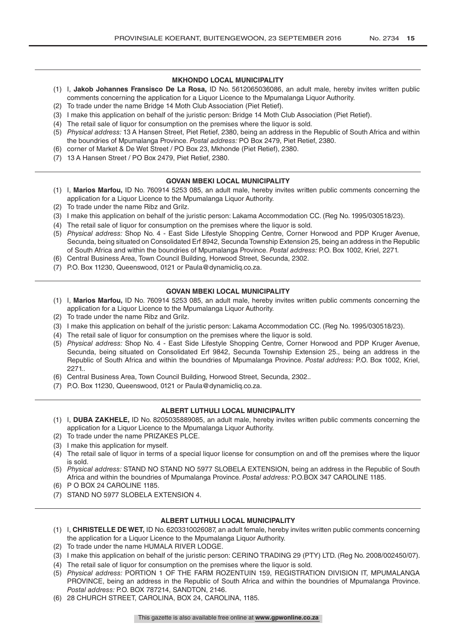#### **MKHONDO LOCAL MUNICIPALITY**

- (1) I, **Jakob Johannes Fransisco De La Rosa,** ID No. 5612065036086, an adult male, hereby invites written public comments concerning the application for a Liquor Licence to the Mpumalanga Liquor Authority.
- (2) To trade under the name Bridge 14 Moth Club Association (Piet Retief).
- (3) I make this application on behalf of the juristic person: Bridge 14 Moth Club Association (Piet Retief).
- (4) The retail sale of liquor for consumption on the premises where the liquor is sold.
- (5) *Physical address:* 13 A Hansen Street, Piet Retief, 2380, being an address in the Republic of South Africa and within the boundries of Mpumalanga Province. *Postal address:* PO Box 2479, Piet Retief, 2380.
- (6) corner of Market & De Wet Street / PO Box 23, Mkhonde (Piet Retief), 2380.
- (7) 13 A Hansen Street / PO Box 2479, Piet Retief, 2380.

#### **GOVAN MBEKI LOCAL MUNICIPALITY**

- (1) I, **Marios Marfou,** ID No. 760914 5253 085, an adult male, hereby invites written public comments concerning the application for a Liquor Licence to the Mpumalanga Liquor Authority.
- (2) To trade under the name Ribz and Grilz.
- (3) I make this application on behalf of the juristic person: Lakama Accommodation CC. (Reg No. 1995/030518/23).
- (4) The retail sale of liquor for consumption on the premises where the liquor is sold.
- (5) *Physical address:* Shop No. 4 East Side Lifestyle Shopping Centre, Corner Horwood and PDP Kruger Avenue, Secunda, being situated on Consolidated Erf 8942, Secunda Township Extension 25, being an address in the Republic of South Africa and within the boundries of Mpumalanga Province. *Postal address:* P.O. Box 1002, Kriel, 2271.
- (6) Central Business Area, Town Council Building, Horwood Street, Secunda, 2302.
- (7) P.O. Box 11230, Queenswood, 0121 or Paula@dynamicliq.co.za.

#### **GOVAN MBEKI LOCAL MUNICIPALITY**

- (1) I, **Marios Marfou,** ID No. 760914 5253 085, an adult male, hereby invites written public comments concerning the application for a Liquor Licence to the Mpumalanga Liquor Authority.
- (2) To trade under the name Ribz and Grilz.
- (3) I make this application on behalf of the juristic person: Lakama Accommodation CC. (Reg No. 1995/030518/23).
- (4) The retail sale of liquor for consumption on the premises where the liquor is sold.
- (5) *Physical address:* Shop No. 4 East Side Lifestyle Shopping Centre, Corner Horwood and PDP Kruger Avenue, Secunda, being situated on Consolidated Erf 9842, Secunda Township Extension 25., being an address in the Republic of South Africa and within the boundries of Mpumalanga Province. *Postal address:* P.O. Box 1002, Kriel, 2271..
- (6) Central Business Area, Town Council Building, Horwood Street, Secunda, 2302..
- (7) P.O. Box 11230, Queenswood, 0121 or Paula@dynamicliq.co.za.

#### **ALBERT LUTHULI LOCAL MUNICIPALITY**

- (1) I, **DUBA ZAKHELE,** ID No. 8205035889085, an adult male, hereby invites written public comments concerning the application for a Liquor Licence to the Mpumalanga Liquor Authority.
- (2) To trade under the name PRIZAKES PLCE.
- (3) I make this application for myself.
- (4) The retail sale of liquor in terms of a special liquor license for consumption on and off the premises where the liquor is sold.
- (5) *Physical address:* STAND NO STAND NO 5977 SLOBELA EXTENSION, being an address in the Republic of South Africa and within the boundries of Mpumalanga Province. *Postal address:* P.O.BOX 347 CAROLINE 1185.
- (6) P O BOX 24 CAROLINE 1185.
- (7) STAND NO 5977 SLOBELA EXTENSION 4.

#### **ALBERT LUTHULI LOCAL MUNICIPALITY**

- (1) I, **CHRISTELLE DE WET,** ID No. 6203310026087, an adult female, hereby invites written public comments concerning the application for a Liquor Licence to the Mpumalanga Liquor Authority.
- (2) To trade under the name HUMALA RIVER LODGE.
- (3) I make this application on behalf of the juristic person: CERINO TRADING 29 (PTY) LTD. (Reg No. 2008/002450/07).
- (4) The retail sale of liquor for consumption on the premises where the liquor is sold.
- (5) *Physical address:* PORTION 1 OF THE FARM ROZENTUIN 159, REGISTRATION DIVISION IT, MPUMALANGA PROVINCE, being an address in the Republic of South Africa and within the boundries of Mpumalanga Province. *Postal address:* P.O. BOX 787214, SANDTON, 2146.
- (6) 28 CHURCH STREET, CAROLINA, BOX 24, CAROLINA, 1185.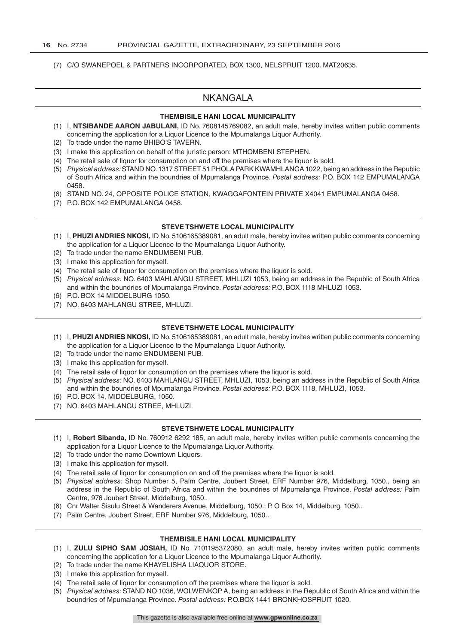#### (7) C/O SWANEPOEL & PARTNERS INCORPORATED, BOX 1300, NELSPRUIT 1200. MAT20635.

# NKANGALA

#### **THEMBISILE HANI LOCAL MUNICIPALITY**

- (1) I, **NTSIBANDE AARON JABULANI,** ID No. 7608145769082, an adult male, hereby invites written public comments concerning the application for a Liquor Licence to the Mpumalanga Liquor Authority.
- (2) To trade under the name BHIBO'S TAVERN.
- (3) I make this application on behalf of the juristic person: MTHOMBENI STEPHEN.
- (4) The retail sale of liquor for consumption on and off the premises where the liquor is sold.
- (5) *Physical address:* STAND NO. 1317 STREET 51 PHOLA PARK KWAMHLANGA 1022, being an address in the Republic of South Africa and within the boundries of Mpumalanga Province. *Postal address:* P.O. BOX 142 EMPUMALANGA 0458.
- (6) STAND NO. 24, OPPOSITE POLICE STATION, KWAGGAFONTEIN PRIVATE X4041 EMPUMALANGA 0458.
- (7) P.O. BOX 142 EMPUMALANGA 0458.

#### **STEVE TSHWETE LOCAL MUNICIPALITY**

- (1) I, **PHUZI ANDRIES NKOSI,** ID No. 5106165389081, an adult male, hereby invites written public comments concerning the application for a Liquor Licence to the Mpumalanga Liquor Authority.
- (2) To trade under the name ENDUMBENI PUB.
- (3) I make this application for myself.
- (4) The retail sale of liquor for consumption on the premises where the liquor is sold.
- (5) *Physical address:* NO. 6403 MAHLANGU STREET, MHLUZI 1053, being an address in the Republic of South Africa and within the boundries of Mpumalanga Province. *Postal address:* P.O. BOX 1118 MHLUZI 1053.
- (6) P.O. BOX 14 MIDDELBURG 1050.
- (7) NO. 6403 MAHLANGU STREE, MHLUZI.

#### **STEVE TSHWETE LOCAL MUNICIPALITY**

- (1) I, **PHUZI ANDRIES NKOSI,** ID No. 5106165389081, an adult male, hereby invites written public comments concerning the application for a Liquor Licence to the Mpumalanga Liquor Authority.
- (2) To trade under the name ENDUMBENI PUB.
- (3) I make this application for myself.
- (4) The retail sale of liquor for consumption on the premises where the liquor is sold.
- (5) *Physical address:* NO. 6403 MAHLANGU STREET, MHLUZI, 1053, being an address in the Republic of South Africa and within the boundries of Mpumalanga Province. *Postal address:* P.O. BOX 1118, MHLUZI, 1053.
- (6) P.O. BOX 14, MIDDELBURG, 1050.
- (7) NO. 6403 MAHLANGU STREE, MHLUZI.

#### **STEVE TSHWETE LOCAL MUNICIPALITY**

- (1) I, **Robert Sibanda,** ID No. 760912 6292 185, an adult male, hereby invites written public comments concerning the application for a Liquor Licence to the Mpumalanga Liquor Authority.
- (2) To trade under the name Downtown Liquors.
- (3) I make this application for myself.
- (4) The retail sale of liquor for consumption on and off the premises where the liquor is sold.
- (5) *Physical address:* Shop Number 5, Palm Centre, Joubert Street, ERF Number 976, Middelburg, 1050., being an address in the Republic of South Africa and within the boundries of Mpumalanga Province. *Postal address:* Palm Centre, 976 Joubert Street, Middelburg, 1050..
- (6) Cnr Walter Sisulu Street & Wanderers Avenue, Middelburg, 1050.; P. O Box 14, Middelburg, 1050..
- (7) Palm Centre, Joubert Street, ERF Number 976, Middelburg, 1050..

#### **THEMBISILE HANI LOCAL MUNICIPALITY**

- (1) I, **ZULU SIPHO SAM JOSIAH,** ID No. 7101195372080, an adult male, hereby invites written public comments concerning the application for a Liquor Licence to the Mpumalanga Liquor Authority.
- (2) To trade under the name KHAYELISHA LIAQUOR STORE.
- (3) I make this application for myself.
- (4) The retail sale of liquor for consumption off the premises where the liquor is sold.
- (5) *Physical address:* STAND NO 1036, WOLWENKOP A, being an address in the Republic of South Africa and within the boundries of Mpumalanga Province. *Postal address:* P.O.BOX 1441 BRONKHOSPRUIT 1020.

This gazette is also available free online at **www.gpwonline.co.za**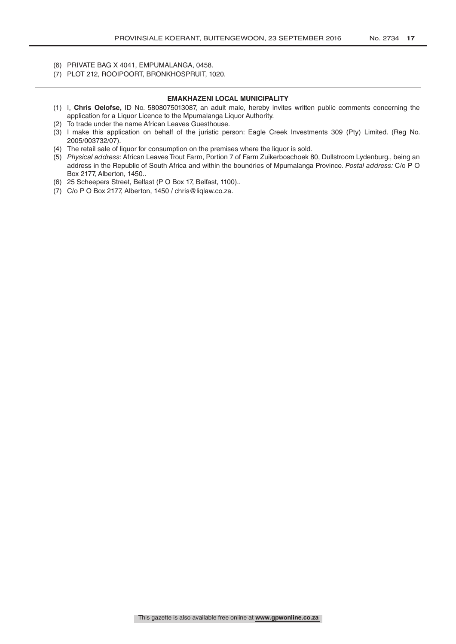- (6) PRIVATE BAG X 4041, EMPUMALANGA, 0458.
- (7) PLOT 212, ROOIPOORT, BRONKHOSPRUIT, 1020.

#### **EMAKHAZENI LOCAL MUNICIPALITY**

- (1) I, **Chris Oelofse,** ID No. 5808075013087, an adult male, hereby invites written public comments concerning the application for a Liquor Licence to the Mpumalanga Liquor Authority.
- (2) To trade under the name African Leaves Guesthouse.
- (3) I make this application on behalf of the juristic person: Eagle Creek Investments 309 (Pty) Limited. (Reg No. 2005/003732/07).
- (4) The retail sale of liquor for consumption on the premises where the liquor is sold.
- (5) *Physical address:* African Leaves Trout Farm, Portion 7 of Farm Zuikerboschoek 80, Dullstroom Lydenburg., being an address in the Republic of South Africa and within the boundries of Mpumalanga Province. *Postal address:* C/o P O Box 2177, Alberton, 1450..
- (6) 25 Scheepers Street, Belfast (P O Box 17, Belfast, 1100)..
- (7) C/o P O Box 2177, Alberton, 1450 / chris@liqlaw.co.za.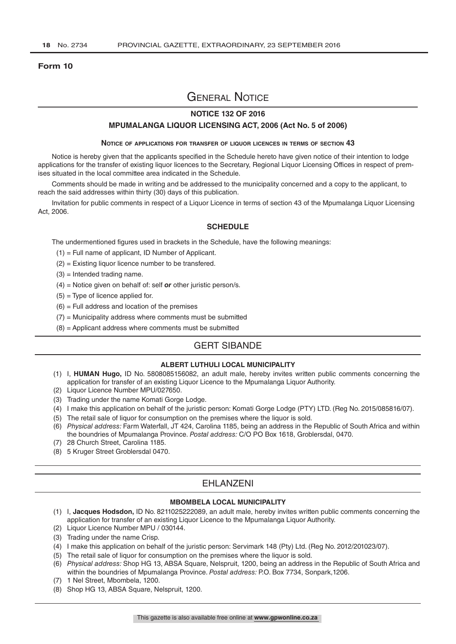#### **Form 10**

# General Notice

### **NOTICE 132 OF 2016**

#### **MPUMALANGA LIQUOR LICENSING ACT, 2006 (Act No. 5 of 2006)**

#### **Notice of applications for transfer of liquor licences in terms of section 43**

Notice is hereby given that the applicants specified in the Schedule hereto have given notice of their intention to lodge applications for the transfer of existing liquor licences to the Secretary, Regional Liquor Licensing Offices in respect of premises situated in the local committee area indicated in the Schedule.

Comments should be made in writing and be addressed to the municipality concerned and a copy to the applicant, to reach the said addresses within thirty (30) days of this publication.

Invitation for public comments in respect of a Liquor Licence in terms of section 43 of the Mpumalanga Liquor Licensing Act, 2006.

#### **SCHEDULE**

The undermentioned figures used in brackets in the Schedule, have the following meanings:

- (1) = Full name of applicant, ID Number of Applicant.
- (2) = Existing liquor licence number to be transfered.
- $(3)$  = Intended trading name.
- (4) = Notice given on behalf of: self *or* other juristic person/s.
- $(5)$  = Type of licence applied for.
- $(6)$  = Full address and location of the premises
- $(7)$  = Municipality address where comments must be submitted
- $(8)$  = Applicant address where comments must be submitted

# GERT SIBANDE

#### **ALBERT LUTHULI LOCAL MUNICIPALITY**

- (1) I, **HUMAN Hugo,** ID No. 5808085156082, an adult male, hereby invites written public comments concerning the application for transfer of an existing Liquor Licence to the Mpumalanga Liquor Authority.
- (2) Liquor Licence Number MPU/027650.
- (3) Trading under the name Komati Gorge Lodge.
- (4) I make this application on behalf of the juristic person: Komati Gorge Lodge (PTY) LTD. (Reg No. 2015/085816/07).
- (5) The retail sale of liquor for consumption on the premises where the liquor is sold.
- (6) *Physical address:* Farm Waterfall, JT 424, Carolina 1185, being an address in the Republic of South Africa and within the boundries of Mpumalanga Province. *Postal address:* C/O PO Box 1618, Groblersdal, 0470.
- (7) 28 Church Street, Carolina 1185.
- (8) 5 Kruger Street Groblersdal 0470.

# **FHI ANZENI**

#### **MBOMBELA LOCAL MUNICIPALITY**

- (1) I, **Jacques Hodsdon,** ID No. 8211025222089, an adult male, hereby invites written public comments concerning the application for transfer of an existing Liquor Licence to the Mpumalanga Liquor Authority.
- (2) Liquor Licence Number MPU / 030144.
- (3) Trading under the name Crisp.
- (4) I make this application on behalf of the juristic person: Servimark 148 (Pty) Ltd. (Reg No. 2012/201023/07).
- (5) The retail sale of liquor for consumption on the premises where the liquor is sold.
- (6) *Physical address:* Shop HG 13, ABSA Square, Nelspruit, 1200, being an address in the Republic of South Africa and within the boundries of Mpumalanga Province. *Postal address:* P.O. Box 7734, Sonpark,1206.
- (7) 1 Nel Street, Mbombela, 1200.
- (8) Shop HG 13, ABSA Square, Nelspruit, 1200.